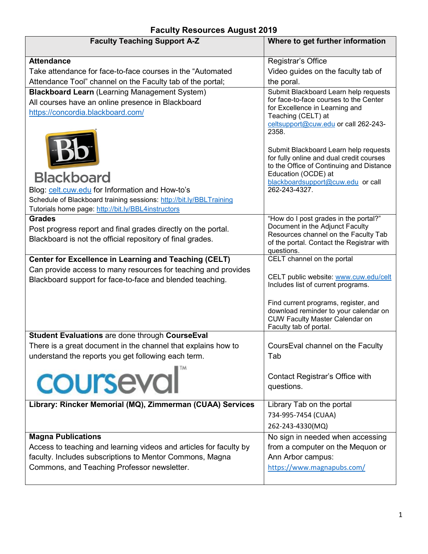| <b>Faculty Teaching Support A-Z</b>                                 | Where to get further information                                                  |
|---------------------------------------------------------------------|-----------------------------------------------------------------------------------|
| <b>Attendance</b>                                                   | Registrar's Office                                                                |
| Take attendance for face-to-face courses in the "Automated"         | Video guides on the faculty tab of                                                |
| Attendance Tool" channel on the Faculty tab of the portal;          | the poral.                                                                        |
| <b>Blackboard Learn (Learning Management System)</b>                | Submit Blackboard Learn help requests                                             |
| All courses have an online presence in Blackboard                   | for face-to-face courses to the Center<br>for Excellence in Learning and          |
| https://concordia.blackboard.com/                                   | Teaching (CELT) at                                                                |
|                                                                     | celtsupport@cuw.edu or call 262-243-                                              |
|                                                                     | 2358.                                                                             |
|                                                                     |                                                                                   |
|                                                                     | Submit Blackboard Learn help requests<br>for fully online and dual credit courses |
|                                                                     | to the Office of Continuing and Distance                                          |
| <b>Blackboard</b>                                                   | Education (OCDE) at                                                               |
| Blog: celt.cuw.edu for Information and How-to's                     | blackboardsupport@cuw.edu or call<br>262-243-4327.                                |
| Schedule of Blackboard training sessions: http://bit.ly/BBLTraining |                                                                                   |
| Tutorials home page: http://bit.ly/BBL4instructors                  |                                                                                   |
| <b>Grades</b>                                                       | "How do I post grades in the portal?"                                             |
| Post progress report and final grades directly on the portal.       | Document in the Adjunct Faculty                                                   |
| Blackboard is not the official repository of final grades.          | Resources channel on the Faculty Tab<br>of the portal. Contact the Registrar with |
|                                                                     | questions.                                                                        |
| <b>Center for Excellence in Learning and Teaching (CELT)</b>        | CELT channel on the portal                                                        |
| Can provide access to many resources for teaching and provides      |                                                                                   |
| Blackboard support for face-to-face and blended teaching.           | CELT public website: www.cuw.edu/celt                                             |
|                                                                     | Includes list of current programs.                                                |
|                                                                     | Find current programs, register, and                                              |
|                                                                     | download reminder to your calendar on                                             |
|                                                                     | <b>CUW Faculty Master Calendar on</b>                                             |
| <b>Student Evaluations are done through CourseEval</b>              | Faculty tab of portal.                                                            |
| There is a great document in the channel that explains how to       | CoursEval channel on the Faculty                                                  |
| understand the reports you get following each term.                 | Tab                                                                               |
|                                                                     |                                                                                   |
| courseval                                                           | Contact Registrar's Office with                                                   |
|                                                                     | questions.                                                                        |
|                                                                     |                                                                                   |
| Library: Rincker Memorial (MQ), Zimmerman (CUAA) Services           | Library Tab on the portal                                                         |
|                                                                     | 734-995-7454 (CUAA)                                                               |
|                                                                     | 262-243-4330(MQ)                                                                  |
| <b>Magna Publications</b>                                           | No sign in needed when accessing                                                  |
| Access to teaching and learning videos and articles for faculty by  | from a computer on the Mequon or                                                  |
| faculty. Includes subscriptions to Mentor Commons, Magna            | Ann Arbor campus:                                                                 |
| Commons, and Teaching Professor newsletter.                         | https://www.magnapubs.com/                                                        |
|                                                                     |                                                                                   |

## **Faculty Resources August 2019**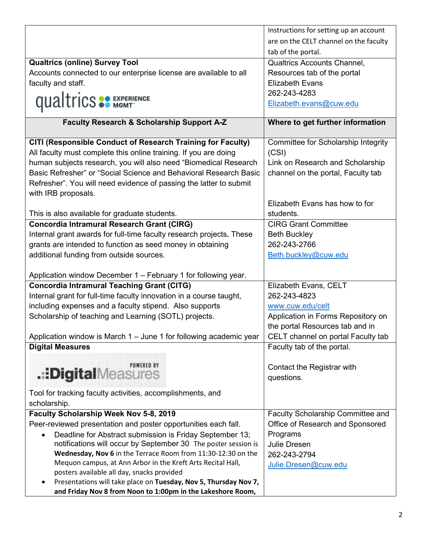|                                                                       | Instructions for setting up an account |
|-----------------------------------------------------------------------|----------------------------------------|
|                                                                       | are on the CELT channel on the faculty |
|                                                                       | tab of the portal.                     |
| <b>Qualtrics (online) Survey Tool</b>                                 | <b>Qualtrics Accounts Channel,</b>     |
| Accounts connected to our enterprise license are available to all     | Resources tab of the portal            |
| faculty and staff.                                                    | <b>Elizabeth Evans</b>                 |
|                                                                       | 262-243-4283                           |
| <b>qualtrics SO EXPERIENCE</b>                                        | Elizabeth.evans@cuw.edu                |
|                                                                       |                                        |
| <b>Faculty Research &amp; Scholarship Support A-Z</b>                 | Where to get further information       |
|                                                                       |                                        |
| CITI (Responsible Conduct of Research Training for Faculty)           | Committee for Scholarship Integrity    |
| All faculty must complete this online training. If you are doing      | (CSI)                                  |
| human subjects research, you will also need "Biomedical Research      | Link on Research and Scholarship       |
| Basic Refresher" or "Social Science and Behavioral Research Basic     | channel on the portal, Faculty tab     |
| Refresher". You will need evidence of passing the latter to submit    |                                        |
| with IRB proposals.                                                   |                                        |
|                                                                       | Elizabeth Evans has how to for         |
| This is also available for graduate students.                         | students.                              |
| <b>Concordia Intramural Research Grant (CIRG)</b>                     | <b>CIRG Grant Committee</b>            |
| Internal grant awards for full-time faculty research projects. These  | <b>Beth Buckley</b>                    |
| grants are intended to function as seed money in obtaining            | 262-243-2766                           |
| additional funding from outside sources.                              | Beth.buckley@cuw.edu                   |
|                                                                       |                                        |
| Application window December 1 - February 1 for following year.        |                                        |
| <b>Concordia Intramural Teaching Grant (CITG)</b>                     | Elizabeth Evans, CELT                  |
| Internal grant for full-time faculty innovation in a course taught,   | 262-243-4823                           |
| including expenses and a faculty stipend. Also supports               | www.cuw.edu/celt                       |
| Scholarship of teaching and Learning (SOTL) projects.                 | Application in Forms Repository on     |
|                                                                       | the portal Resources tab and in        |
| Application window is March 1 - June 1 for following academic year    | CELT channel on portal Faculty tab     |
| <b>Digital Measures</b>                                               | Faculty tab of the portal.             |
| <b>POWERED BY</b>                                                     |                                        |
| .::DigitalMeasures                                                    | Contact the Registrar with             |
|                                                                       | questions.                             |
| Tool for tracking faculty activities, accomplishments, and            |                                        |
| scholarship.                                                          |                                        |
| Faculty Scholarship Week Nov 5-8, 2019                                | Faculty Scholarship Committee and      |
| Peer-reviewed presentation and poster opportunities each fall.        | Office of Research and Sponsored       |
| Deadline for Abstract submission is Friday September 13;<br>$\bullet$ | Programs                               |
| notifications will occur by September 30 The poster session is        | Julie Dresen                           |
| Wednesday, Nov 6 in the Terrace Room from 11:30-12:30 on the          | 262-243-2794                           |
| Mequon campus, at Ann Arbor in the Kreft Arts Recital Hall,           | Julie.Dresen@cuw.edu                   |
| posters available all day, snacks provided                            |                                        |
| Presentations will take place on Tuesday, Nov 5, Thursday Nov 7,      |                                        |
| and Friday Nov 8 from Noon to 1:00pm in the Lakeshore Room,           |                                        |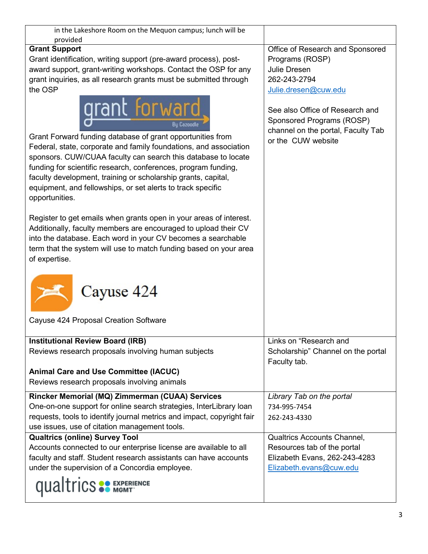| in the Lakeshore Room on the Mequon campus; lunch will be                                                                                                                                                                                                                                                                                                                                                                          |                                                                                                                          |
|------------------------------------------------------------------------------------------------------------------------------------------------------------------------------------------------------------------------------------------------------------------------------------------------------------------------------------------------------------------------------------------------------------------------------------|--------------------------------------------------------------------------------------------------------------------------|
| provided<br><b>Grant Support</b>                                                                                                                                                                                                                                                                                                                                                                                                   | Office of Research and Sponsored                                                                                         |
| Grant identification, writing support (pre-award process), post-                                                                                                                                                                                                                                                                                                                                                                   | Programs (ROSP)                                                                                                          |
| award support, grant-writing workshops. Contact the OSP for any                                                                                                                                                                                                                                                                                                                                                                    | Julie Dresen                                                                                                             |
|                                                                                                                                                                                                                                                                                                                                                                                                                                    | 262-243-2794                                                                                                             |
| grant inquiries, as all research grants must be submitted through                                                                                                                                                                                                                                                                                                                                                                  |                                                                                                                          |
| the OSP                                                                                                                                                                                                                                                                                                                                                                                                                            | Julie.dresen@cuw.edu                                                                                                     |
| grant Forward<br>Bu Cazoodle<br>Grant Forward funding database of grant opportunities from<br>Federal, state, corporate and family foundations, and association<br>sponsors. CUW/CUAA faculty can search this database to locate<br>funding for scientific research, conferences, program funding,<br>faculty development, training or scholarship grants, capital,<br>equipment, and fellowships, or set alerts to track specific | See also Office of Research and<br>Sponsored Programs (ROSP)<br>channel on the portal, Faculty Tab<br>or the CUW website |
| opportunities.                                                                                                                                                                                                                                                                                                                                                                                                                     |                                                                                                                          |
| Register to get emails when grants open in your areas of interest.<br>Additionally, faculty members are encouraged to upload their CV<br>into the database. Each word in your CV becomes a searchable<br>term that the system will use to match funding based on your area<br>of expertise.                                                                                                                                        |                                                                                                                          |
| Cayuse 424                                                                                                                                                                                                                                                                                                                                                                                                                         |                                                                                                                          |
| Cayuse 424 Proposal Creation Software                                                                                                                                                                                                                                                                                                                                                                                              |                                                                                                                          |
| <b>Institutional Review Board (IRB)</b>                                                                                                                                                                                                                                                                                                                                                                                            | Links on "Research and                                                                                                   |
| Reviews research proposals involving human subjects                                                                                                                                                                                                                                                                                                                                                                                | Scholarship" Channel on the portal<br>Faculty tab.                                                                       |
| <b>Animal Care and Use Committee (IACUC)</b>                                                                                                                                                                                                                                                                                                                                                                                       |                                                                                                                          |
| Reviews research proposals involving animals                                                                                                                                                                                                                                                                                                                                                                                       |                                                                                                                          |
|                                                                                                                                                                                                                                                                                                                                                                                                                                    |                                                                                                                          |
| Rincker Memorial (MQ) Zimmerman (CUAA) Services                                                                                                                                                                                                                                                                                                                                                                                    | Library Tab on the portal                                                                                                |
| One-on-one support for online search strategies, InterLibrary loan                                                                                                                                                                                                                                                                                                                                                                 | 734-995-7454                                                                                                             |
| requests, tools to identify journal metrics and impact, copyright fair                                                                                                                                                                                                                                                                                                                                                             | 262-243-4330                                                                                                             |
| use issues, use of citation management tools.                                                                                                                                                                                                                                                                                                                                                                                      |                                                                                                                          |
| <b>Qualtrics (online) Survey Tool</b>                                                                                                                                                                                                                                                                                                                                                                                              | <b>Qualtrics Accounts Channel,</b>                                                                                       |
| Accounts connected to our enterprise license are available to all                                                                                                                                                                                                                                                                                                                                                                  | Resources tab of the portal                                                                                              |
| faculty and staff. Student research assistants can have accounts                                                                                                                                                                                                                                                                                                                                                                   | Elizabeth Evans, 262-243-4283                                                                                            |
| under the supervision of a Concordia employee.                                                                                                                                                                                                                                                                                                                                                                                     | Elizabeth.evans@cuw.edu                                                                                                  |
| <b>qualtrics SO EXPERIENCE</b>                                                                                                                                                                                                                                                                                                                                                                                                     |                                                                                                                          |